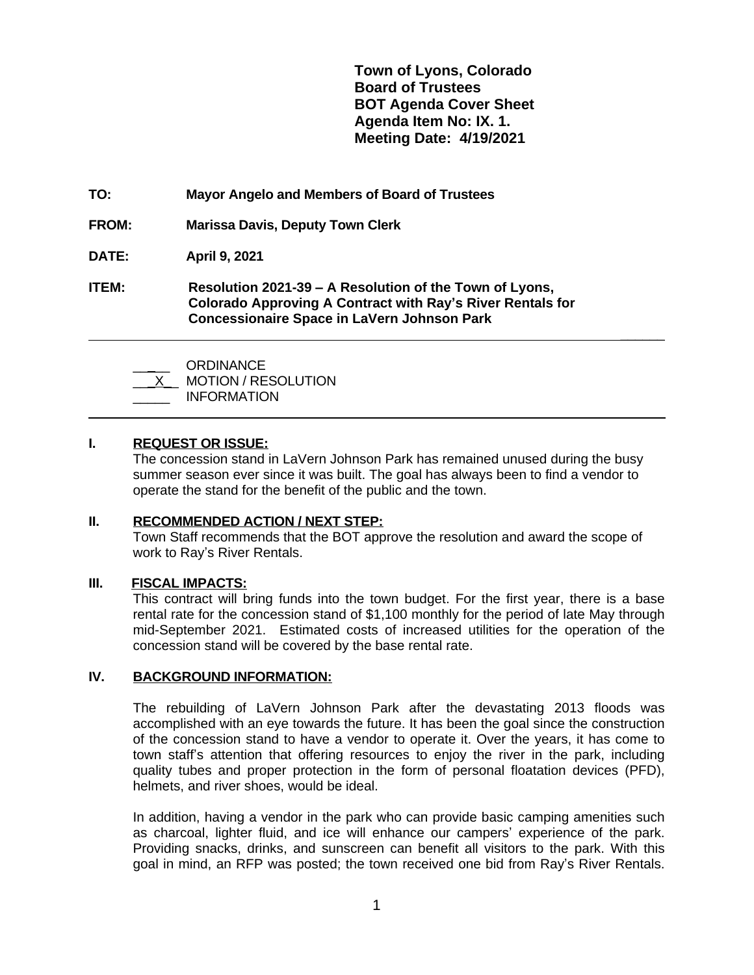**Town of Lyons, Colorado Board of Trustees BOT Agenda Cover Sheet Agenda Item No: IX. 1. Meeting Date: 4/19/2021**

 **\_\_\_\_\_\_**

- **TO: Mayor Angelo and Members of Board of Trustees**
- **FROM: Marissa Davis, Deputy Town Clerk**
- **DATE: April 9, 2021**
- **ITEM: Resolution 2021-39 – A Resolution of the Town of Lyons, Colorado Approving A Contract with Ray's River Rentals for Concessionaire Space in LaVern Johnson Park**

\_\_\_\_\_ ORDINANCE

MOTION / RESOLUTION

\_\_\_\_\_ INFORMATION

# **I. REQUEST OR ISSUE:**

 $\overline{a}$ 

The concession stand in LaVern Johnson Park has remained unused during the busy summer season ever since it was built. The goal has always been to find a vendor to operate the stand for the benefit of the public and the town.

### **II. RECOMMENDED ACTION / NEXT STEP:**

Town Staff recommends that the BOT approve the resolution and award the scope of work to Ray's River Rentals.

### **III. FISCAL IMPACTS:**

This contract will bring funds into the town budget. For the first year, there is a base rental rate for the concession stand of \$1,100 monthly for the period of late May through mid-September 2021. Estimated costs of increased utilities for the operation of the concession stand will be covered by the base rental rate.

#### **IV. BACKGROUND INFORMATION:**

The rebuilding of LaVern Johnson Park after the devastating 2013 floods was accomplished with an eye towards the future. It has been the goal since the construction of the concession stand to have a vendor to operate it. Over the years, it has come to town staff's attention that offering resources to enjoy the river in the park, including quality tubes and proper protection in the form of personal floatation devices (PFD), helmets, and river shoes, would be ideal.

In addition, having a vendor in the park who can provide basic camping amenities such as charcoal, lighter fluid, and ice will enhance our campers' experience of the park. Providing snacks, drinks, and sunscreen can benefit all visitors to the park. With this goal in mind, an RFP was posted; the town received one bid from Ray's River Rentals.